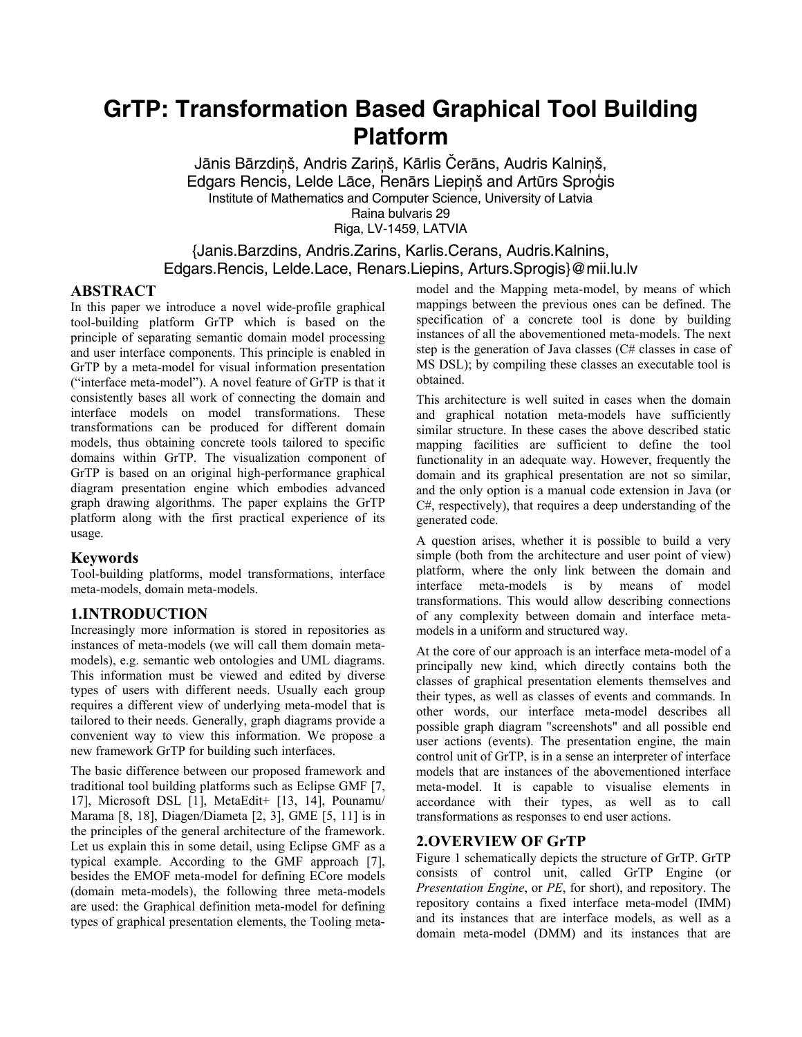# **GrTP: Transformation Based Graphical Tool Building Platform**

Jānis Bārzdiņš, Andris Zariņš, Kārlis Čerāns, Audris Kalniņš, Edgars Rencis, Lelde Lāce, Renārs Liepiņš and Artūrs Sproģis Institute of Mathematics and Computer Science, University of Latvia Raina bulvaris 29 Riga, LV-1459, LATVIA

## {Janis.Barzdins, Andris.Zarins, Karlis.Cerans, Audris.Kalnins, Edgars.Rencis, Lelde.Lace, Renars.Liepins, Arturs.Sprogis}@mii.lu.lv

#### **ABSTRACT**

In this paper we introduce a novel wide-profile graphical tool-building platform GrTP which is based on the principle of separating semantic domain model processing and user interface components. This principle is enabled in GrTP by a meta-model for visual information presentation ("interface meta-model"). A novel feature of GrTP is that it consistently bases all work of connecting the domain and interface models on model transformations. These transformations can be produced for different domain models, thus obtaining concrete tools tailored to specific domains within GrTP. The visualization component of GrTP is based on an original high-performance graphical diagram presentation engine which embodies advanced graph drawing algorithms. The paper explains the GrTP platform along with the first practical experience of its usage.

#### **Keywords**

Tool-building platforms, model transformations, interface meta-models, domain meta-models.

## **1.INTRODUCTION**

Increasingly more information is stored in repositories as instances of meta-models (we will call them domain metamodels), e.g. semantic web ontologies and UML diagrams. This information must be viewed and edited by diverse types of users with different needs. Usually each group requires a different view of underlying meta-model that is tailored to their needs. Generally, graph diagrams provide a convenient way to view this information. We propose a new framework GrTP for building such interfaces.

The basic difference between our proposed framework and traditional tool building platforms such as Eclipse GMF [7, 17], Microsoft DSL [1], MetaEdit+ [13, 14], Pounamu/ Marama [8, 18], Diagen/Diameta [2, 3], GME [5, 11] is in the principles of the general architecture of the framework. Let us explain this in some detail, using Eclipse GMF as a typical example. According to the GMF approach [7], besides the EMOF meta-model for defining ECore models (domain meta-models), the following three meta-models are used: the Graphical definition meta-model for defining types of graphical presentation elements, the Tooling metamodel and the Mapping meta-model, by means of which mappings between the previous ones can be defined. The specification of a concrete tool is done by building instances of all the abovementioned meta-models. The next step is the generation of Java classes (C# classes in case of MS DSL); by compiling these classes an executable tool is obtained.

This architecture is well suited in cases when the domain and graphical notation meta-models have sufficiently similar structure. In these cases the above described static mapping facilities are sufficient to define the tool functionality in an adequate way. However, frequently the domain and its graphical presentation are not so similar, and the only option is a manual code extension in Java (or C#, respectively), that requires a deep understanding of the generated code.

A question arises, whether it is possible to build a very simple (both from the architecture and user point of view) platform, where the only link between the domain and interface meta-models is by means of model transformations. This would allow describing connections of any complexity between domain and interface metamodels in a uniform and structured way.

At the core of our approach is an interface meta-model of a principally new kind, which directly contains both the classes of graphical presentation elements themselves and their types, as well as classes of events and commands. In other words, our interface meta-model describes all possible graph diagram "screenshots" and all possible end user actions (events). The presentation engine, the main control unit of GrTP, is in a sense an interpreter of interface models that are instances of the abovementioned interface meta-model. It is capable to visualise elements in accordance with their types, as well as to call transformations as responses to end user actions.

#### **2.OVERVIEW OF GrTP**

Figure 1 schematically depicts the structure of GrTP. GrTP consists of control unit, called GrTP Engine (or *Presentation Engine*, or *PE*, for short), and repository. The repository contains a fixed interface meta-model (IMM) and its instances that are interface models, as well as a domain meta-model (DMM) and its instances that are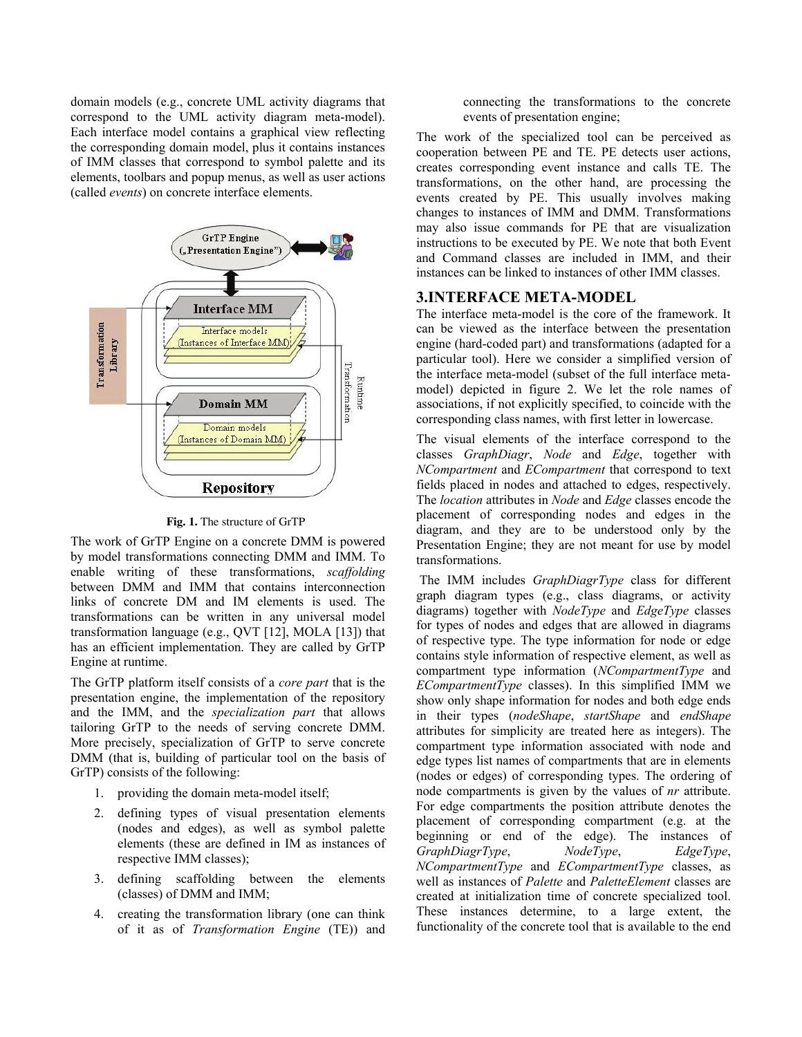domain models (e.g., concrete UML activity diagrams that correspond to the UML activity diagram meta-model). Each interface model contains a graphical view reflecting the corresponding domain model, plus it contains instances of IMM classes that correspond to symbol palette and its elements, toolbars and popup menus, as well as user actions (called *events*) on concrete interface elements.



**Fig. 1.** The structure of GrTP

The work of GrTP Engine on a concrete DMM is powered by model transformations connecting DMM and IMM. To enable writing of these transformations, *scaffolding* between DMM and IMM that contains interconnection links of concrete DM and IM elements is used. The transformations can be written in any universal model transformation language (e.g., QVT [12], MOLA [13]) that has an efficient implementation. They are called by GrTP Engine at runtime.

The GrTP platform itself consists of a *core part* that is the presentation engine, the implementation of the repository and the IMM, and the *specialization part* that allows tailoring GrTP to the needs of serving concrete DMM. More precisely, specialization of GrTP to serve concrete DMM (that is, building of particular tool on the basis of GrTP) consists of the following:

- 1. providing the domain meta-model itself;
- 2. defining types of visual presentation elements (nodes and edges), as well as symbol palette elements (these are defined in IM as instances of respective IMM classes);
- 3. defining scaffolding between the elements (classes) of DMM and IMM;
- 4. creating the transformation library (one can think of it as of *Transformation Engine* (TE)) and

connecting the transformations to the concrete events of presentation engine;

The work of the specialized tool can be perceived as cooperation between PE and TE. PE detects user actions, creates corresponding event instance and calls TE. The transformations, on the other hand, are processing the events created by PE. This usually involves making changes to instances of IMM and DMM. Transformations may also issue commands for PE that are visualization instructions to be executed by PE. We note that both Event and Command classes are included in IMM, and their instances can be linked to instances of other IMM classes.

### **3.INTERFACE META-MODEL**

The interface meta-model is the core of the framework. It can be viewed as the interface between the presentation engine (hard-coded part) and transformations (adapted for a particular tool). Here we consider a simplified version of the interface meta-model (subset of the full interface metamodel) depicted in figure 2. We let the role names of associations, if not explicitly specified, to coincide with the corresponding class names, with first letter in lowercase.

The visual elements of the interface correspond to the classes *GraphDiagr*, *Node* and *Edge*, together with *NCompartment* and *ECompartment* that correspond to text fields placed in nodes and attached to edges, respectively. The *location* attributes in *Node* and *Edge* classes encode the placement of corresponding nodes and edges in the diagram, and they are to be understood only by the Presentation Engine; they are not meant for use by model transformations.

 The IMM includes *GraphDiagrType* class for different graph diagram types (e.g., class diagrams, or activity diagrams) together with *NodeType* and *EdgeType* classes for types of nodes and edges that are allowed in diagrams of respective type. The type information for node or edge contains style information of respective element, as well as compartment type information (*NCompartmentType* and *ECompartmentType* classes). In this simplified IMM we show only shape information for nodes and both edge ends in their types (*nodeShape*, *startShape* and *endShape* attributes for simplicity are treated here as integers). The compartment type information associated with node and edge types list names of compartments that are in elements (nodes or edges) of corresponding types. The ordering of node compartments is given by the values of *nr* attribute. For edge compartments the position attribute denotes the placement of corresponding compartment (e.g. at the beginning or end of the edge). The instances of *GraphDiagrType*, *NodeType*, *EdgeType*, *NCompartmentType* and *ECompartmentType* classes, as well as instances of *Palette* and *PaletteElement* classes are created at initialization time of concrete specialized tool. These instances determine, to a large extent, the functionality of the concrete tool that is available to the end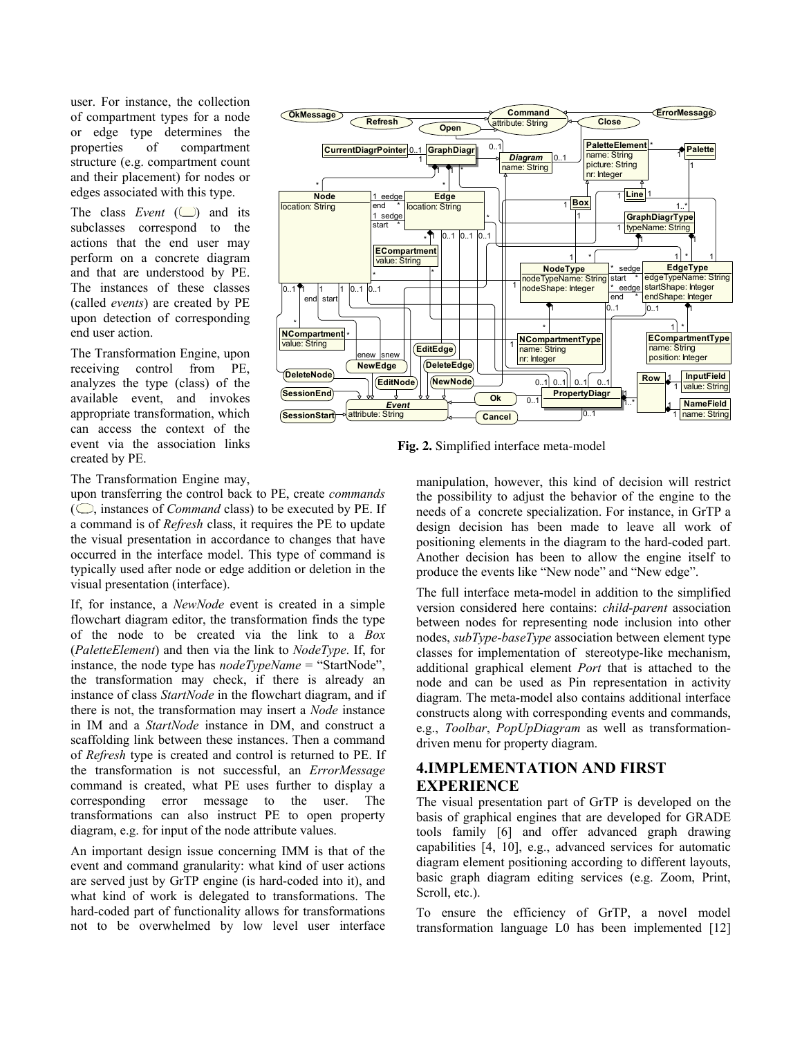user. For instance, the collection of compartment types for a node or edge type determines the properties of compartment structure (e.g. compartment count and their placement) for nodes or edges associated with this type.

The class *Event*  $(\Box)$  and its subclasses correspond to the actions that the end user may perform on a concrete diagram and that are understood by PE. The instances of these classes (called *events*) are created by PE upon detection of corresponding end user action.

The Transformation Engine, upon receiving control from PE, analyzes the type (class) of the available event, and invokes appropriate transformation, which can access the context of the event via the association links created by PE.

**Command OkMessage Refresh Open Close ErrorMessage** *Diagram* 0..1 0..1 name: String **CurrentDiagrPointer GraphDiagr Node** location: String **Edge** location: String **NCompartment** value: String **ECompartment** value: String **PaletteElement** \* ● Palette name: String picture: String nr: Integer **Box** 1 **Line** 1 **GraphDiagrType** 1 **typeName: String NodeType** nodeTypeName: String nodeShape: Integer **EdgeType** edgeTypeName: String startShape: Integer endShape: Integer **NCompartmentType** name: String nr: Integer **ECompartmentType** name: String position: Integer **PropertyDiagr Row NameField** name: String **InputField** value: String **NewEdge NewNode DeleteEdge DeleteNode SessionStart EditNode EditEdge SessionEnd** *Event* attribute: String **Ok Cancel**  $0$ ... 1 \* 1 \* 1 start 1 sedge \* end eedge \* \* 1 \* <sup>1</sup> \* 1 1 1..\* \* 1 \* 1 start sedge \* end eedge \* \* 1 \* 1 \* \* 1 \* 1 1 \*  $\mathbf{1}$ \* 1 1 1 0..1 0..1 | 0..1 | Row | 0..1  $\ln 1$ enew end 1 snew star 1 1  $0.1$  $0.1$  0.1  $0$ ... 0..1 1..\* 1 1 1 1  $0.1$  $0.1$  $0.1$  $\overline{0.1}$ 

**Fig. 2.** Simplified interface meta-model

The Transformation Engine may,

upon transferring the control back to PE, create *commands* ( $\bigcirc$ , instances of *Command* class) to be executed by PE. If a command is of *Refresh* class, it requires the PE to update the visual presentation in accordance to changes that have occurred in the interface model. This type of command is typically used after node or edge addition or deletion in the visual presentation (interface).

If, for instance, a *NewNode* event is created in a simple flowchart diagram editor, the transformation finds the type of the node to be created via the link to a *Box* (*PaletteElement*) and then via the link to *NodeType*. If, for instance, the node type has *nodeTypeName* = "StartNode", the transformation may check, if there is already an instance of class *StartNode* in the flowchart diagram, and if there is not, the transformation may insert a *Node* instance in IM and a *StartNode* instance in DM, and construct a scaffolding link between these instances. Then a command of *Refresh* type is created and control is returned to PE. If the transformation is not successful, an *ErrorMessage* command is created, what PE uses further to display a corresponding error message to the user. The transformations can also instruct PE to open property diagram, e.g. for input of the node attribute values.

An important design issue concerning IMM is that of the event and command granularity: what kind of user actions are served just by GrTP engine (is hard-coded into it), and what kind of work is delegated to transformations. The hard-coded part of functionality allows for transformations not to be overwhelmed by low level user interface manipulation, however, this kind of decision will restrict the possibility to adjust the behavior of the engine to the needs of a concrete specialization. For instance, in GrTP a design decision has been made to leave all work of positioning elements in the diagram to the hard-coded part. Another decision has been to allow the engine itself to produce the events like "New node" and "New edge".

The full interface meta-model in addition to the simplified version considered here contains: *child-parent* association between nodes for representing node inclusion into other nodes, *subType-baseType* association between element type classes for implementation of stereotype-like mechanism, additional graphical element *Port* that is attached to the node and can be used as Pin representation in activity diagram. The meta-model also contains additional interface constructs along with corresponding events and commands, e.g., *Toolbar*, *PopUpDiagram* as well as transformationdriven menu for property diagram.

## **4.IMPLEMENTATION AND FIRST EXPERIENCE**

The visual presentation part of GrTP is developed on the basis of graphical engines that are developed for GRADE tools family [6] and offer advanced graph drawing capabilities [4, 10], e.g., advanced services for automatic diagram element positioning according to different layouts, basic graph diagram editing services (e.g. Zoom, Print, Scroll, etc.).

To ensure the efficiency of GrTP, a novel model transformation language L0 has been implemented [12]